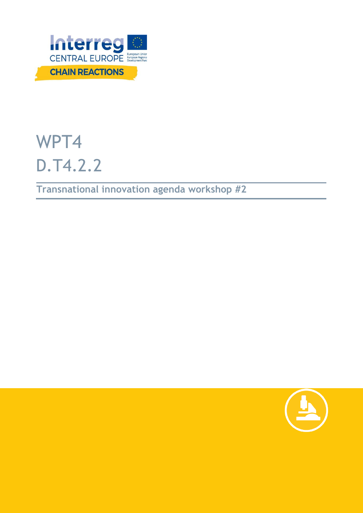

# WPT4 D.T4.2.2

**Transnational innovation agenda workshop #2**

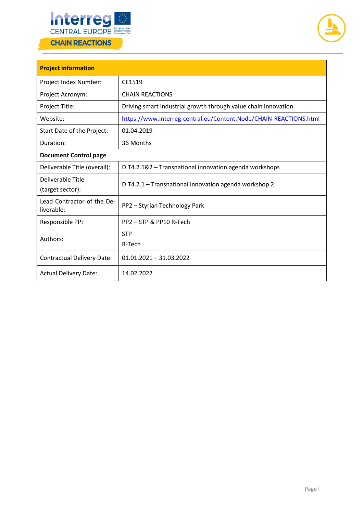



| <b>Project information</b>               |                                                                   |  |  |  |
|------------------------------------------|-------------------------------------------------------------------|--|--|--|
| Project Index Number:                    | CE1519                                                            |  |  |  |
| Project Acronym:                         | <b>CHAIN REACTIONS</b>                                            |  |  |  |
| Project Title:                           | Driving smart industrial growth through value chain innovation    |  |  |  |
| Website:                                 | https://www.interreg-central.eu/Content.Node/CHAIN-REACTIONS.html |  |  |  |
| Start Date of the Project:               | 01.04.2019                                                        |  |  |  |
| Duration:                                | 36 Months                                                         |  |  |  |
| <b>Document Control page</b>             |                                                                   |  |  |  |
| Deliverable Title (overall):             | D.T4.2.1&2 - Transnational innovation agenda workshops            |  |  |  |
| Deliverable Title<br>(target sector):    | D.T4.2.1 - Transnational innovation agenda workshop 2             |  |  |  |
| Lead Contractor of the De-<br>liverable: | PP2 - Styrian Technology Park                                     |  |  |  |
| Responsible PP:                          | PP2 - STP & PP10 R-Tech                                           |  |  |  |
| Authors:                                 | <b>STP</b>                                                        |  |  |  |
|                                          | R-Tech                                                            |  |  |  |
| <b>Contractual Delivery Date:</b>        | $01.01.2021 - 31.03.2022$                                         |  |  |  |
| <b>Actual Delivery Date:</b>             | 14.02.2022                                                        |  |  |  |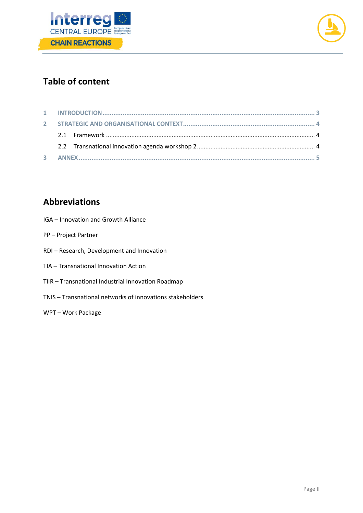



# **Table of content**

# **Abbreviations**

- IGA Innovation and Growth Alliance
- PP Project Partner
- RDI Research, Development and Innovation
- TIA Transnational Innovation Action
- TIIR Transnational Industrial Innovation Roadmap
- TNIS Transnational networks of innovations stakeholders
- WPT Work Package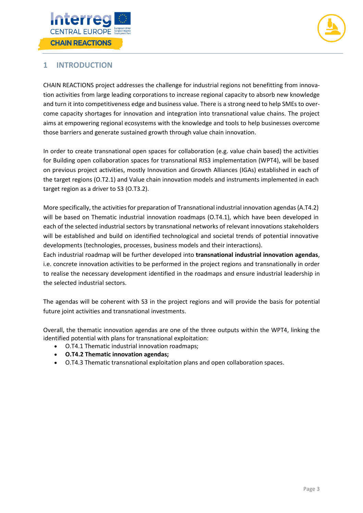



#### <span id="page-3-0"></span>**1 INTRODUCTION**

CHAIN REACTIONS project addresses the challenge for industrial regions not benefitting from innovation activities from large leading corporations to increase regional capacity to absorb new knowledge and turn it into competitiveness edge and business value. There is a strong need to help SMEs to overcome capacity shortages for innovation and integration into transnational value chains. The project aims at empowering regional ecosystems with the knowledge and tools to help businesses overcome those barriers and generate sustained growth through value chain innovation.

In order to create transnational open spaces for collaboration (e.g. value chain based) the activities for Building open collaboration spaces for transnational RIS3 implementation (WPT4), will be based on previous project activities, mostly Innovation and Growth Alliances (IGAs) established in each of the target regions (O.T2.1) and Value chain innovation models and instruments implemented in each target region as a driver to S3 (O.T3.2).

More specifically, the activities for preparation of Transnational industrial innovation agendas (A.T4.2) will be based on Thematic industrial innovation roadmaps (O.T4.1), which have been developed in each of the selected industrial sectors by transnational networks of relevant innovations stakeholders will be established and build on identified technological and societal trends of potential innovative developments (technologies, processes, business models and their interactions).

Each industrial roadmap will be further developed into **transnational industrial innovation agendas**, i.e. concrete innovation activities to be performed in the project regions and transnationally in order to realise the necessary development identified in the roadmaps and ensure industrial leadership in the selected industrial sectors.

The agendas will be coherent with S3 in the project regions and will provide the basis for potential future joint activities and transnational investments.

Overall, the thematic innovation agendas are one of the three outputs within the WPT4, linking the identified potential with plans for transnational exploitation:

- O.T4.1 Thematic industrial innovation roadmaps;
- **O.T4.2 Thematic innovation agendas;**
- O.T4.3 Thematic transnational exploitation plans and open collaboration spaces.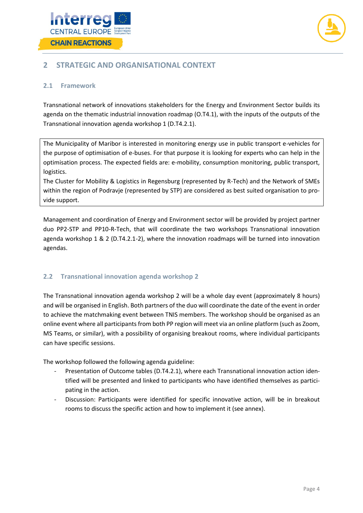



### <span id="page-4-0"></span>**2 STRATEGIC AND ORGANISATIONAL CONTEXT**

#### <span id="page-4-1"></span>**2.1 Framework**

Transnational network of innovations stakeholders for the Energy and Environment Sector builds its agenda on the thematic industrial innovation roadmap (O.T4.1), with the inputs of the outputs of the Transnational innovation agenda workshop 1 (D.T4.2.1).

The Municipality of Maribor is interested in monitoring energy use in public transport e-vehicles for the purpose of optimisation of e-buses. For that purpose it is looking for experts who can help in the optimisation process. The expected fields are: e-mobility, consumption monitoring, public transport, logistics.

The Cluster for Mobility & Logistics in Regensburg (represented by R-Tech) and the Network of SMEs within the region of Podravje (represented by STP) are considered as best suited organisation to provide support.

Management and coordination of Energy and Environment sector will be provided by project partner duo PP2-STP and PP10-R-Tech, that will coordinate the two workshops Transnational innovation agenda workshop 1 & 2 (D.T4.2.1-2), where the innovation roadmaps will be turned into innovation agendas.

#### <span id="page-4-2"></span>**2.2 Transnational innovation agenda workshop 2**

The Transnational innovation agenda workshop 2 will be a whole day event (approximately 8 hours) and will be organised in English. Both partners of the duo will coordinate the date of the event in order to achieve the matchmaking event between TNIS members. The workshop should be organised as an online event where all participants from both PP region will meet via an online platform (such as Zoom, MS Teams, or similar), with a possibility of organising breakout rooms, where individual participants can have specific sessions.

The workshop followed the following agenda guideline:

- Presentation of Outcome tables (D.T4.2.1), where each Transnational innovation action identified will be presented and linked to participants who have identified themselves as participating in the action.
- Discussion: Participants were identified for specific innovative action, will be in breakout rooms to discuss the specific action and how to implement it (see annex).